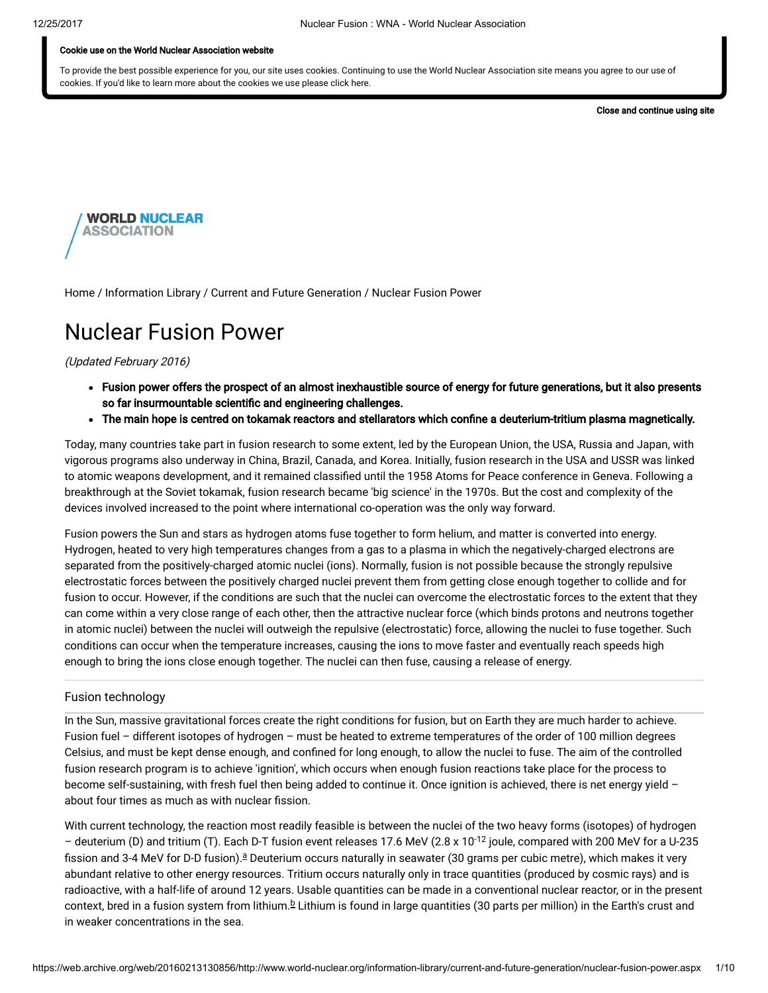#### Cookie use on the World Nuclear Association website

To provide the best possible experience for you, our site uses cookies. Continuing to use the World Nuclear Association site means you agree to our use of cookies. If you'd like to learn more about the cookies we use please click here.

Close and continue using site



[Home](https://web.archive.org/web/20160213130856/http://www.world-nuclear.org/) / [Information](https://web.archive.org/web/20160213130856/http://www.world-nuclear.org/information-library.aspx) Library / Current and Future [Generation](https://web.archive.org/web/20160213130856/http://www.world-nuclear.org/information-library/current-and-future-generation.aspx) / Nuclear Fusion Power

# Nuclear Fusion Power

#### (Updated February 2016)

- Fusion power offers the prospect of an almost inexhaustible source of energy for future generations, but it also presents so far insurmountable scientific and engineering challenges.
- The main hope is centred on tokamak reactors and stellarators which confine a deuterium-tritium plasma magnetically.

Today, many countries take part in fusion research to some extent, led by the European Union, the USA, Russia and Japan, with vigorous programs also underway in China, Brazil, Canada, and Korea. Initially, fusion research in the USA and USSR was linked to atomic weapons development, and it remained classified until the 1958 Atoms for Peace conference in Geneva. Following a breakthrough at the Soviet tokamak, fusion research became 'big science' in the 1970s. But the cost and complexity of the devices involved increased to the point where international co-operation was the only way forward.

Fusion powers the Sun and stars as hydrogen atoms fuse together to form helium, and matter is converted into energy. Hydrogen, heated to very high temperatures changes from a gas to a plasma in which the negatively-charged electrons are separated from the positively-charged atomic nuclei (ions). Normally, fusion is not possible because the strongly repulsive electrostatic forces between the positively charged nuclei prevent them from getting close enough together to collide and for fusion to occur. However, if the conditions are such that the nuclei can overcome the electrostatic forces to the extent that they can come within a very close range of each other, then the attractive nuclear force (which binds protons and neutrons together in atomic nuclei) between the nuclei will outweigh the repulsive (electrostatic) force, allowing the nuclei to fuse together. Such conditions can occur when the temperature increases, causing the ions to move faster and eventually reach speeds high enough to bring the ions close enough together. The nuclei can then fuse, causing a release of energy.

#### Fusion technology

In the Sun, massive gravitational forces create the right conditions for fusion, but on Earth they are much harder to achieve. Fusion fuel – different isotopes of hydrogen – must be heated to extreme temperatures of the order of 100 million degrees Celsius, and must be kept dense enough, and confined for long enough, to allow the nuclei to fuse. The aim of the controlled fusion research program is to achieve 'ignition', which occurs when enough fusion reactions take place for the process to become self-sustaining, with fresh fuel then being added to continue it. Once ignition is achieved, there is net energy yield about four times as much as with nuclear fission.

<span id="page-0-1"></span><span id="page-0-0"></span>With current technology, the reaction most readily feasible is between the nuclei of the two heavy forms (isotopes) of hydrogen – deuterium (D) and tritium (T). Each D-T fusion event releases 17.6 MeV (2.8 x 10<sup>-12</sup> joule, compared with 200 MeV for a U-235 fission [a](#page-7-0)nd 3-4 MeV for D-D fusion).ª Deuterium occurs naturally in seawater (30 grams per cubic metre), which makes it very abundant relative to other energy resources. Tritium occurs naturally only in trace quantities (produced by cosmic rays) and is radioactive, with a half-life of around 12 years. Usable quantities can be made in a conventional nuclear reactor, or in the present context, [b](#page-7-0)red in a fusion system from lithium.<sup>b</sup> Lithium is found in large quantities (30 parts per million) in the Earth's crust and in weaker concentrations in the sea.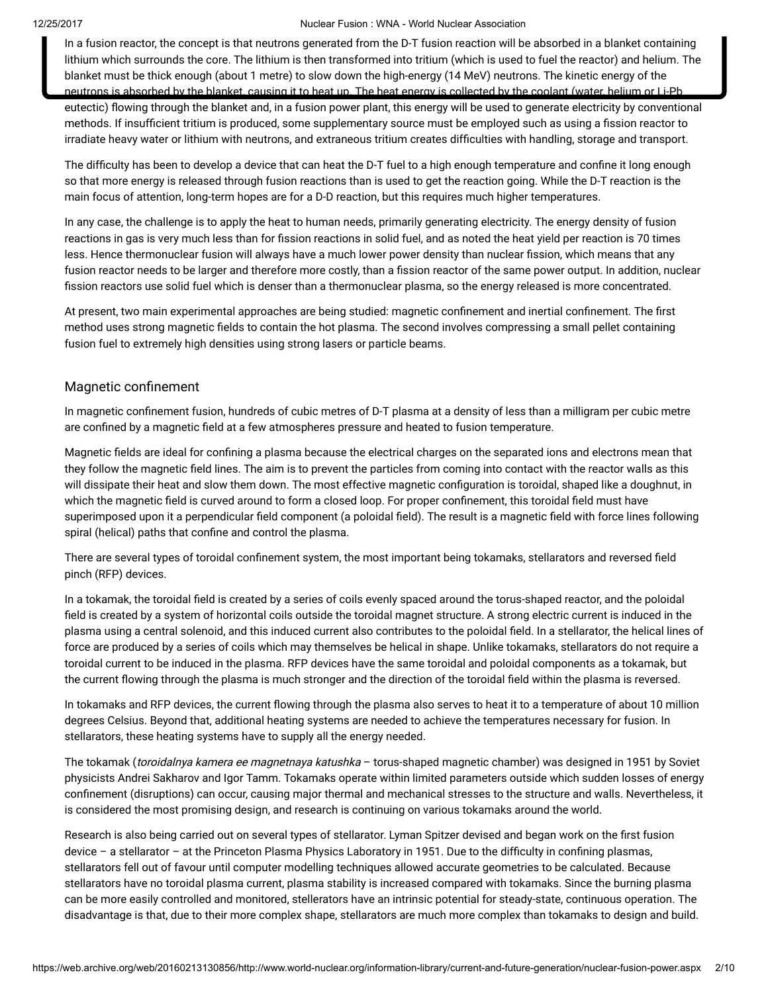In a fusion reactor, the concept is that neutrons generated from the D-T fusion reaction will be absorbed in a blanket containing lithium which surrounds the core. The lithium is then transformed into tritium (which is used to fuel the reactor) and helium. The blanket must be thick enough (about 1 metre) to slow down the high-energy (14 MeV) neutrons. The kinetic energy of the neutrons is absorbed by the blanket, causing it to heat up. The heat energy is collected by the coolant (water, helium or Li-Pb

eutectic) flowing through the blanket and, in a fusion power plant, this energy will be used to generate electricity by conventional methods. If insufficient tritium is produced, some supplementary source must be employed such as using a fission reactor to irradiate heavy water or lithium with neutrons, and extraneous tritium creates difculties with handling, storage and transport.

The difficulty has been to develop a device that can heat the D-T fuel to a high enough temperature and confine it long enough so that more energy is released through fusion reactions than is used to get the reaction going. While the D-T reaction is the main focus of attention, long-term hopes are for a D-D reaction, but this requires much higher temperatures.

In any case, the challenge is to apply the heat to human needs, primarily generating electricity. The energy density of fusion reactions in gas is very much less than for fission reactions in solid fuel, and as noted the heat yield per reaction is 70 times less. Hence thermonuclear fusion will always have a much lower power density than nuclear fission, which means that any fusion reactor needs to be larger and therefore more costly, than a fission reactor of the same power output. In addition, nuclear fission reactors use solid fuel which is denser than a thermonuclear plasma, so the energy released is more concentrated.

At present, two main experimental approaches are being studied: magnetic confinement and inertial confinement. The first method uses strong magnetic fields to contain the hot plasma. The second involves compressing a small pellet containing fusion fuel to extremely high densities using strong lasers or particle beams.

#### Magnetic confinement

In magnetic confinement fusion, hundreds of cubic metres of D-T plasma at a density of less than a milligram per cubic metre are confined by a magnetic field at a few atmospheres pressure and heated to fusion temperature.

Magnetic fields are ideal for confining a plasma because the electrical charges on the separated ions and electrons mean that they follow the magnetic field lines. The aim is to prevent the particles from coming into contact with the reactor walls as this will dissipate their heat and slow them down. The most effective magnetic configuration is toroidal, shaped like a doughnut, in which the magnetic field is curved around to form a closed loop. For proper confinement, this toroidal field must have superimposed upon it a perpendicular field component (a poloidal field). The result is a magnetic field with force lines following spiral (helical) paths that confine and control the plasma.

There are several types of toroidal confinement system, the most important being tokamaks, stellarators and reversed field pinch (RFP) devices.

In a tokamak, the toroidal field is created by a series of coils evenly spaced around the torus-shaped reactor, and the poloidal field is created by a system of horizontal coils outside the toroidal magnet structure. A strong electric current is induced in the plasma using a central solenoid, and this induced current also contributes to the poloidal field. In a stellarator, the helical lines of force are produced by a series of coils which may themselves be helical in shape. Unlike tokamaks, stellarators do not require a toroidal current to be induced in the plasma. RFP devices have the same toroidal and poloidal components as a tokamak, but the current flowing through the plasma is much stronger and the direction of the toroidal field within the plasma is reversed.

In tokamaks and RFP devices, the current flowing through the plasma also serves to heat it to a temperature of about 10 million degrees Celsius. Beyond that, additional heating systems are needed to achieve the temperatures necessary for fusion. In stellarators, these heating systems have to supply all the energy needed.

The tokamak (toroidalnya kamera ee magnetnaya katushka – torus-shaped magnetic chamber) was designed in 1951 by Soviet physicists Andrei Sakharov and Igor Tamm. Tokamaks operate within limited parameters outside which sudden losses of energy confinement (disruptions) can occur, causing major thermal and mechanical stresses to the structure and walls. Nevertheless, it is considered the most promising design, and research is continuing on various tokamaks around the world.

Research is also being carried out on several types of stellarator. Lyman Spitzer devised and began work on the first fusion device – a stellarator – at the Princeton Plasma Physics Laboratory in 1951. Due to the difficulty in confining plasmas, stellarators fell out of favour until computer modelling techniques allowed accurate geometries to be calculated. Because stellarators have no toroidal plasma current, plasma stability is increased compared with tokamaks. Since the burning plasma can be more easily controlled and monitored, stellerators have an intrinsic potential for steady-state, continuous operation. The disadvantage is that, due to their more complex shape, stellarators are much more complex than tokamaks to design and build.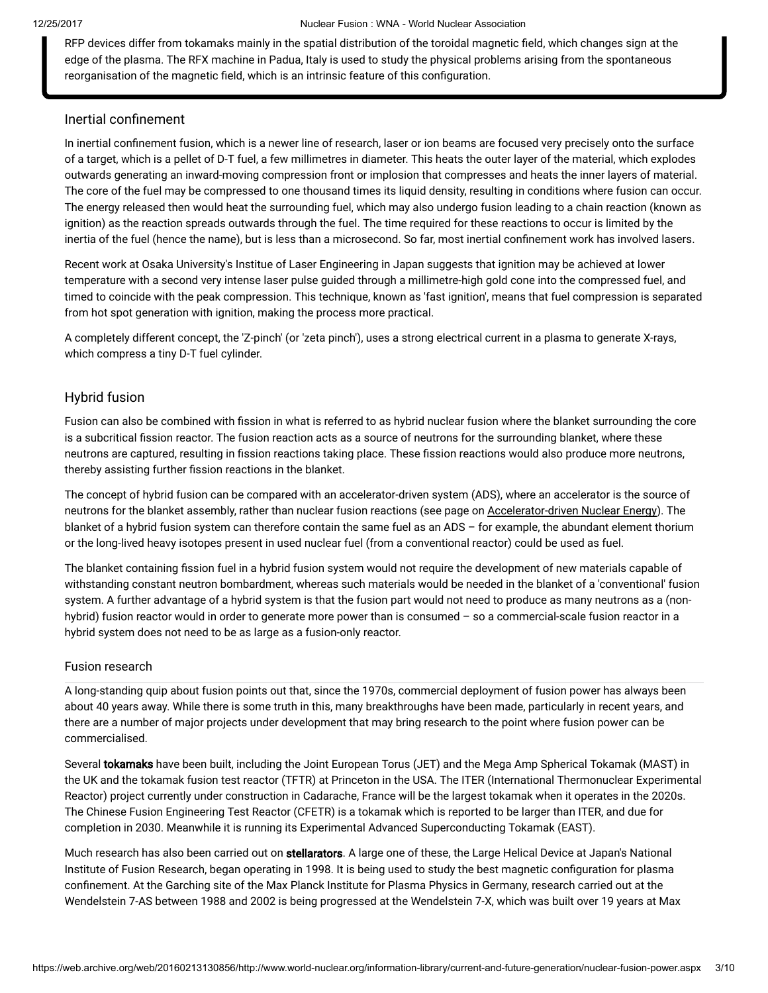RFP devices differ from tokamaks mainly in the spatial distribution of the toroidal magnetic field, which changes sign at the edge of the plasma. The RFX machine in Padua, Italy is used to study the physical problems arising from the spontaneous reorganisation of the magnetic field, which is an intrinsic feature of this configuration.

### Inertial confinement

In inertial confinement fusion, which is a newer line of research, laser or ion beams are focused very precisely onto the surface of a target, which is a pellet of D-T fuel, a few millimetres in diameter. This heats the outer layer of the material, which explodes outwards generating an inward-moving compression front or implosion that compresses and heats the inner layers of material. The core of the fuel may be compressed to one thousand times its liquid density, resulting in conditions where fusion can occur. The energy released then would heat the surrounding fuel, which may also undergo fusion leading to a chain reaction (known as ignition) as the reaction spreads outwards through the fuel. The time required for these reactions to occur is limited by the inertia of the fuel (hence the name), but is less than a microsecond. So far, most inertial confinement work has involved lasers.

Recent work at Osaka University's Institue of Laser Engineering in Japan suggests that ignition may be achieved at lower temperature with a second very intense laser pulse guided through a millimetre-high gold cone into the compressed fuel, and timed to coincide with the peak compression. This technique, known as 'fast ignition', means that fuel compression is separated from hot spot generation with ignition, making the process more practical.

A completely different concept, the 'Z-pinch' (or 'zeta pinch'), uses a strong electrical current in a plasma to generate X-rays, which compress a tiny D-T fuel cylinder.

#### Hybrid fusion

Fusion can also be combined with fission in what is referred to as hybrid nuclear fusion where the blanket surrounding the core is a subcritical fission reactor. The fusion reaction acts as a source of neutrons for the surrounding blanket, where these neutrons are captured, resulting in fission reactions taking place. These fission reactions would also produce more neutrons, thereby assisting further fission reactions in the blanket.

The concept of hybrid fusion can be compared with an accelerator-driven system (ADS), where an accelerator is the source of neutrons for the blanket assembly, rather than nuclear fusion reactions (see page on [Accelerator-driven](https://web.archive.org/web/20160213130856/http://www.world-nuclear.org/info/inf35.html) Nuclear Energy). The blanket of a hybrid fusion system can therefore contain the same fuel as an ADS – for example, the abundant element thorium or the long-lived heavy isotopes present in used nuclear fuel (from a conventional reactor) could be used as fuel.

The blanket containing fission fuel in a hybrid fusion system would not require the development of new materials capable of withstanding constant neutron bombardment, whereas such materials would be needed in the blanket of a 'conventional' fusion system. A further advantage of a hybrid system is that the fusion part would not need to produce as many neutrons as a (nonhybrid) fusion reactor would in order to generate more power than is consumed – so a commercial-scale fusion reactor in a hybrid system does not need to be as large as a fusion-only reactor.

#### Fusion research

A long-standing quip about fusion points out that, since the 1970s, commercial deployment of fusion power has always been about 40 years away. While there is some truth in this, many breakthroughs have been made, particularly in recent years, and there are a number of major projects under development that may bring research to the point where fusion power can be commercialised.

Several tokamaks have been built, including the Joint European Torus (JET) and the Mega Amp Spherical Tokamak (MAST) in the UK and the tokamak fusion test reactor (TFTR) at Princeton in the USA. The ITER (International Thermonuclear Experimental Reactor) project currently under construction in Cadarache, France will be the largest tokamak when it operates in the 2020s. The Chinese Fusion Engineering Test Reactor (CFETR) is a tokamak which is reported to be larger than ITER, and due for completion in 2030. Meanwhile it is running its Experimental Advanced Superconducting Tokamak (EAST).

Much research has also been carried out on stellarators. A large one of these, the Large Helical Device at Japan's National Institute of Fusion Research, began operating in 1998. It is being used to study the best magnetic configuration for plasma confinement. At the Garching site of the Max Planck Institute for Plasma Physics in Germany, research carried out at the Wendelstein 7-AS between 1988 and 2002 is being progressed at the Wendelstein 7-X, which was built over 19 years at Max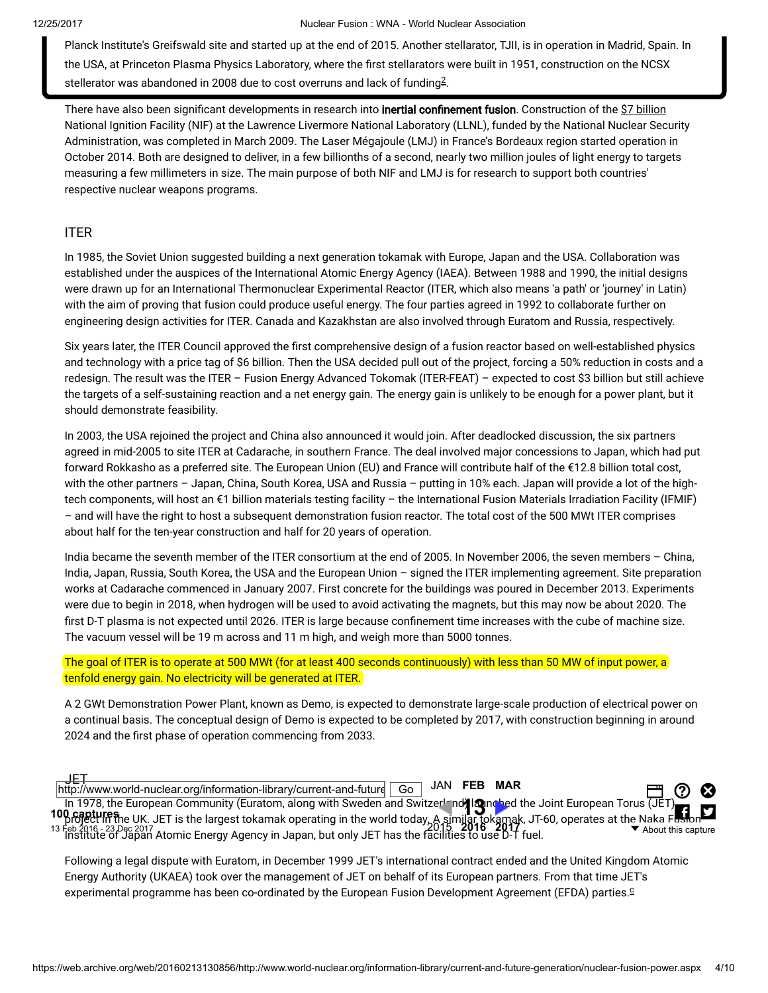Planck Institute's Greifswald site and started up at the end of 2015. Another stellarator, TJII, is in operation in Madrid, Spain. In the USA, at Princeton Plasma Physics Laboratory, where the first stellarators were built in 1951, construction on the NCSX stellerator was abandoned in [2](#page-8-0)008 due to cost overruns and lack of funding $^{2}$ .

<span id="page-3-1"></span>There have also been significant developments in research into inertial confinement fusion. Construction of the \$7 billion National Ignition Facility (NIF) at the Lawrence Livermore National Laboratory (LLNL), funded by the National Nuclear Security Administration, was completed in March 2009. The Laser Mégajoule (LMJ) in France's Bordeaux region started operation in October 2014. Both are designed to deliver, in a few billionths of a second, nearly two million joules of light energy to targets measuring a few millimeters in size. The main purpose of both NIF and LMJ is for research to support both countries' respective nuclear weapons programs.

# ITER

In 1985, the Soviet Union suggested building a next generation tokamak with Europe, Japan and the USA. Collaboration was established under the auspices of the International Atomic Energy Agency (IAEA). Between 1988 and 1990, the initial designs were drawn up for an International Thermonuclear Experimental Reactor (ITER, which also means 'a path' or 'journey' in Latin) with the aim of proving that fusion could produce useful energy. The four parties agreed in 1992 to collaborate further on engineering design activities for ITER. Canada and Kazakhstan are also involved through Euratom and Russia, respectively.

Six years later, the ITER Council approved the first comprehensive design of a fusion reactor based on well-established physics and technology with a price tag of \$6 billion. Then the USA decided pull out of the project, forcing a 50% reduction in costs and a redesign. The result was the ITER – Fusion Energy Advanced Tokomak (ITER-FEAT) – expected to cost \$3 billion but still achieve the targets of a self-sustaining reaction and a net energy gain. The energy gain is unlikely to be enough for a power plant, but it should demonstrate feasibility.

In 2003, the USA rejoined the project and China also announced it would join. After deadlocked discussion, the six partners agreed in mid-2005 to site ITER at Cadarache, in southern France. The deal involved major concessions to Japan, which had put forward Rokkasho as a preferred site. The European Union (EU) and France will contribute half of the €12.8 billion total cost, with the other partners – Japan, China, South Korea, USA and Russia – putting in 10% each. Japan will provide a lot of the hightech components, will host an €1 billion materials testing facility – the International Fusion Materials Irradiation Facility (IFMIF) – and will have the right to host a subsequent demonstration fusion reactor. The total cost of the 500 MWt ITER comprises about half for the ten-year construction and half for 20 years of operation.

India became the seventh member of the ITER consortium at the end of 2005. In November 2006, the seven members – China, India, Japan, Russia, South Korea, the USA and the European Union – signed the ITER implementing agreement. Site preparation works at Cadarache commenced in January 2007. First concrete for the buildings was poured in December 2013. Experiments were due to begin in 2018, when hydrogen will be used to avoid activating the magnets, but this may now be about 2020. The first D-T plasma is not expected until 2026. ITER is large because confinement time increases with the cube of machine size. The vacuum vessel will be 19 m across and 11 m high, and weigh more than 5000 tonnes.

### The goal of ITER is to operate at 500 MWt (for at least 400 seconds continuously) with less than 50 MW of input power, a tenfold energy gain. No electricity will be generated at ITER.

A 2 GWt Demonstration Power Plant, known as Demo, is expected to demonstrate large-scale production of electrical power on a continual basis. The conceptual design of Demo is expected to be completed by 2017, with construction beginning in around 2024 and the first phase of operation commencing from 2033.

JET

In 1978, the European Community (Euratom, along with Sweden and Switzerland) languabed the Joint European Torus (JET)<br>**0 captures** o UK UET is the Jerseet tekemek operating in the world teday. A similar tekemek, JT 60, ope project in the UK. JET is the largest tokamak operating in the world today, A similar tokamak, JT-60, operates at the Naka Filsion Feb 2016 - 23 Dec [2017](https://web.archive.org/web/20170308184443/http://www.world-nuclear.org/information-library/current-and-future-generation/nuclear-fusion-power.aspx)<br>Feb 2016 - 23 Dec 2017<br>Institute of Japan Atomic Energy Agency in Japan, but only JET has the facilities to use D-T fuel. http://www.world-nuclear.org/information-library/current-and-future. JAN FEB [MAR](https://web.archive.org/web/20160315224249/http://www.world-nuclear.org:80/information-library/current-and-future-generation/nuclear-fusion-power.aspx) 100 [captures](https://web.archive.org/web/*/http://www.world-nuclear.org/information-library/current-and-future-generation/nuclear-fusion-power.aspx)  $\Box$  0 0 **fi** 13  $\frac{1}{20}$   $\frac{1}{5}$   $\frac{2016}{2017}$   $\frac{2016}{2017}$   $\frac{2017}{2017}$   $\frac{1}{101}$   $\frac{1}{101}$   $\frac{1}{101}$   $\frac{1}{101}$   $\frac{1}{101}$   $\frac{1}{101}$   $\frac{1}{101}$   $\frac{1}{101}$   $\frac{1}{101}$   $\frac{1}{101}$   $\frac{1}{101}$   $\frac{1}{101}$   $\frac{1$ 

<span id="page-3-0"></span>Following a legal dispute with Euratom, in December 1999 JET's international contract ended and the United Kingdom Atomic Energy Authority (UKAEA) took over the management of JET on behalf of its European partners. From that time JET's experimental programme has been [c](#page-7-1)o-ordinated by the European Fusion Development Agreement (EFDA) parties.<sup>⊆</sup>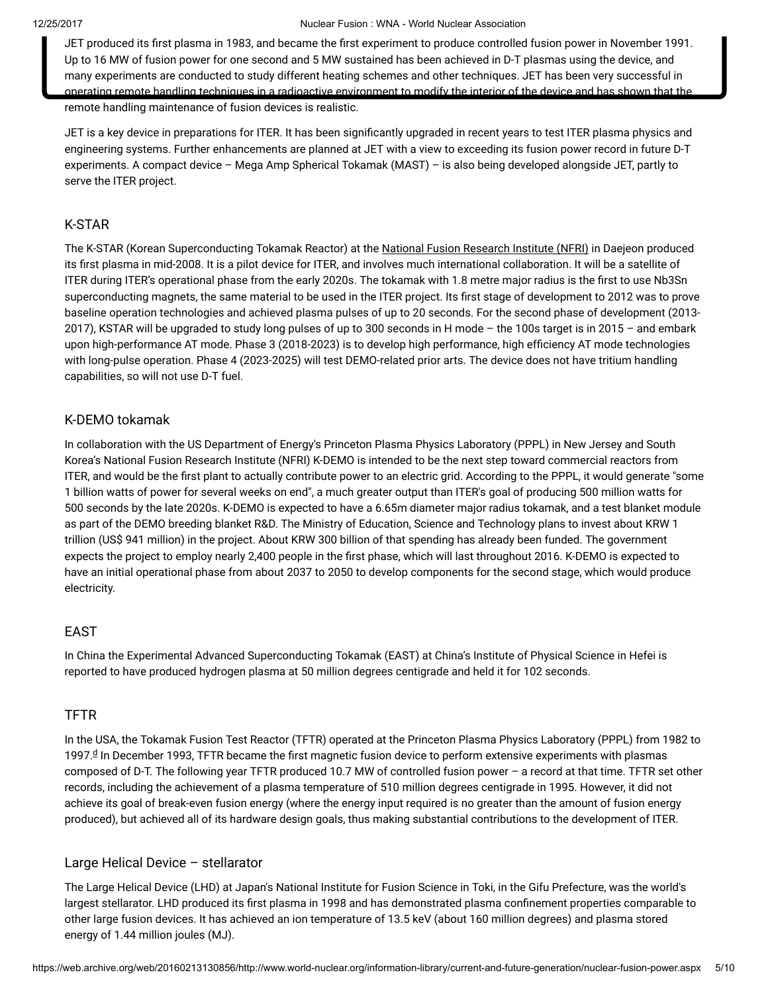JET produced its first plasma in 1983, and became the first experiment to produce controlled fusion power in November 1991. Up to 16 MW of fusion power for one second and 5 MW sustained has been achieved in D-T plasmas using the device, and many experiments are conducted to study different heating schemes and other techniques. JET has been very successful in operating remote handling techniques in a radioactive environment to modify the interior of the device and has shown that the remote handling maintenance of fusion devices is realistic.

JET is a key device in preparations for ITER. It has been significantly upgraded in recent years to test ITER plasma physics and engineering systems. Further enhancements are planned at JET with a view to exceeding its fusion power record in future D-T experiments. A compact device – Mega Amp Spherical Tokamak (MAST) – is also being developed alongside JET, partly to serve the ITER project.

### K-STAR

The K-STAR (Korean Superconducting Tokamak Reactor) at the National Fusion [Research](https://web.archive.org/web/20160213130856/http://www.nfri.re.kr/english/research/fusion.php?mn=4&sn=11) Institute (NFRI) in Daejeon produced its first plasma in mid-2008. It is a pilot device for ITER, and involves much international collaboration. It will be a satellite of ITER during ITER's operational phase from the early 2020s. The tokamak with 1.8 metre major radius is the first to use Nb3Sn superconducting magnets, the same material to be used in the ITER project. Its first stage of development to 2012 was to prove baseline operation technologies and achieved plasma pulses of up to 20 seconds. For the second phase of development (2013- 2017), KSTAR will be upgraded to study long pulses of up to 300 seconds in H mode – the 100s target is in 2015 – and embark upon high-performance AT mode. Phase 3 (2018-2023) is to develop high performance, high efficiency AT mode technologies with long-pulse operation. Phase 4 (2023-2025) will test DEMO-related prior arts. The device does not have tritium handling capabilities, so will not use D-T fuel.

# K-DEMO tokamak

In collaboration with the US Department of Energy's Princeton Plasma Physics Laboratory (PPPL) in New Jersey and South Korea's National Fusion Research Institute (NFRI) K-DEMO is intended to be the next step toward commercial reactors from ITER, and would be the first plant to actually contribute power to an electric grid. According to the PPPL, it would generate "some 1 billion watts of power for several weeks on end", a much greater output than ITER's goal of producing 500 million watts for 500 seconds by the late 2020s. K-DEMO is expected to have a 6.65m diameter major radius tokamak, and a test blanket module as part of the DEMO breeding blanket R&D. The Ministry of Education, Science and Technology plans to invest about KRW 1 trillion (US\$ 941 million) in the project. About KRW 300 billion of that spending has already been funded. The government expects the project to employ nearly 2,400 people in the first phase, which will last throughout 2016. K-DEMO is expected to have an initial operational phase from about 2037 to 2050 to develop components for the second stage, which would produce electricity.

# EAST

In China the Experimental Advanced Superconducting Tokamak (EAST) at China's Institute of Physical Science in Hefei is reported to have produced hydrogen plasma at 50 million degrees centigrade and held it for 102 seconds.

### TFTR

<span id="page-4-0"></span>In the USA, the Tokamak Fusion Test Reactor (TFTR) operated at the Princeton Plasma Physics Laboratory (PPPL) from 1982 to 1997.ª In December 1993, TFTR became the first magnetic fusion [d](#page-7-1)evice to perform extensive experiments with plasmas composed of D-T. The following year TFTR produced 10.7 MW of controlled fusion power – a record at that time. TFTR set other records, including the achievement of a plasma temperature of 510 million degrees centigrade in 1995. However, it did not achieve its goal of break-even fusion energy (where the energy input required is no greater than the amount of fusion energy produced), but achieved all of its hardware design goals, thus making substantial contributions to the development of ITER.

### Large Helical Device – stellarator

The Large Helical Device (LHD) at Japan's National Institute for Fusion Science in Toki, in the Gifu Prefecture, was the world's largest stellarator. LHD produced its first plasma in 1998 and has demonstrated plasma confinement properties comparable to other large fusion devices. It has achieved an ion temperature of 13.5 keV (about 160 million degrees) and plasma stored energy of 1.44 million joules (MJ).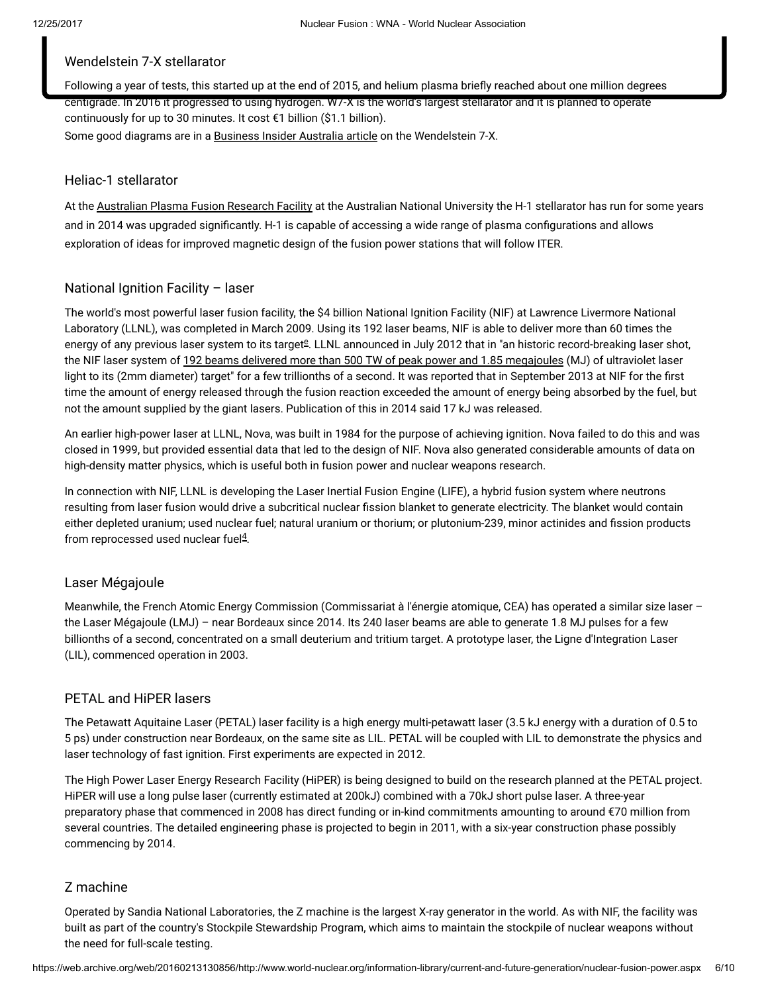# Wendelstein 7-X stellarator

Following a year of tests, this started up at the end of 2015, and helium plasma briefly reached about one million degrees centigrade. In 2016 it progressed to using hydrogen. W7-X is the world's largest stellarator and it is planned to operate continuously for up to 30 minutes. It cost €1 billion (\$1.1 billion). Some good diagrams are in a [Business](https://web.archive.org/web/20160213130856/http://www.businessinsider.com.au/germany-is-turning-on-its-monster-stellarator-2015-10) Insider Australia article on the Wendelstein 7-X.

### Heliac-1 stellarator

At the [Australian](https://web.archive.org/web/20160213130856/http://apfrf.anu.edu.au/) Plasma Fusion Research Facility at the Australian National University the H-1 stellarator has run for some years and in 2014 was upgraded significantly. H-1 is capable of accessing a wide range of plasma configurations and allows exploration of ideas for improved magnetic design of the fusion power stations that will follow ITER.

# National Ignition Facility – laser

<span id="page-5-0"></span>The world's most powerful laser fusion facility, the \$4 billion National Ignition Facility (NIF) at Lawrence Livermore National Laboratory (LLNL), was completed in March 2009. Using its 192 laser beams, NIF is able to deliver more than 60 times the [e](#page-7-1)nergy of any previous laser system to its target<sup>g</sup>. LLNL announced in July 2012 that in "an historic record-breaking laser shot, the NIF laser system of 192 beams delivered more than 500 TW of peak power and 1.85 [megajoules](https://web.archive.org/web/20160213130856/https://www.llnl.gov/news/newsreleases/2012/Jul/NR-12-07-01.html) (MJ) of ultraviolet laser light to its (2mm diameter) target" for a few trillionths of a second. It was reported that in September 2013 at NIF for the first time the amount of energy released through the fusion reaction exceeded the amount of energy being absorbed by the fuel, but not the amount supplied by the giant lasers. Publication of this in 2014 said 17 kJ was released.

An earlier high-power laser at LLNL, Nova, was built in 1984 for the purpose of achieving ignition. Nova failed to do this and was closed in 1999, but provided essential data that led to the design of NIF. Nova also generated considerable amounts of data on high-density matter physics, which is useful both in fusion power and nuclear weapons research.

In connection with NIF, LLNL is developing the Laser Inertial Fusion Engine (LIFE), a hybrid fusion system where neutrons resulting from laser fusion would drive a subcritical nuclear fission blanket to generate electricity. The blanket would contain either depleted uranium; used nuclear fuel; natural uranium or thorium; or plutonium-239, minor actinides and fission products from reprocessed used nuclear fuel $4$ .

# <span id="page-5-1"></span>Laser Mégajoule

Meanwhile, the French Atomic Energy Commission (Commissariat à l'énergie atomique, CEA) has operated a similar size laser the Laser Mégajoule (LMJ) – near Bordeaux since 2014. Its 240 laser beams are able to generate 1.8 MJ pulses for a few billionths of a second, concentrated on a small deuterium and tritium target. A prototype laser, the Ligne d'Integration Laser (LIL), commenced operation in 2003.

# PETAL and HiPER lasers

The Petawatt Aquitaine Laser (PETAL) laser facility is a high energy multi-petawatt laser (3.5 kJ energy with a duration of 0.5 to 5 ps) under construction near Bordeaux, on the same site as LIL. PETAL will be coupled with LIL to demonstrate the physics and laser technology of fast ignition. First experiments are expected in 2012.

The High Power Laser Energy Research Facility (HiPER) is being designed to build on the research planned at the PETAL project. HiPER will use a long pulse laser (currently estimated at 200kJ) combined with a 70kJ short pulse laser. A three-year preparatory phase that commenced in 2008 has direct funding or in-kind commitments amounting to around €70 million from several countries. The detailed engineering phase is projected to begin in 2011, with a six-year construction phase possibly commencing by 2014.

# Z machine

Operated by Sandia National Laboratories, the Z machine is the largest X-ray generator in the world. As with NIF, the facility was built as part of the country's Stockpile Stewardship Program, which aims to maintain the stockpile of nuclear weapons without the need for full-scale testing.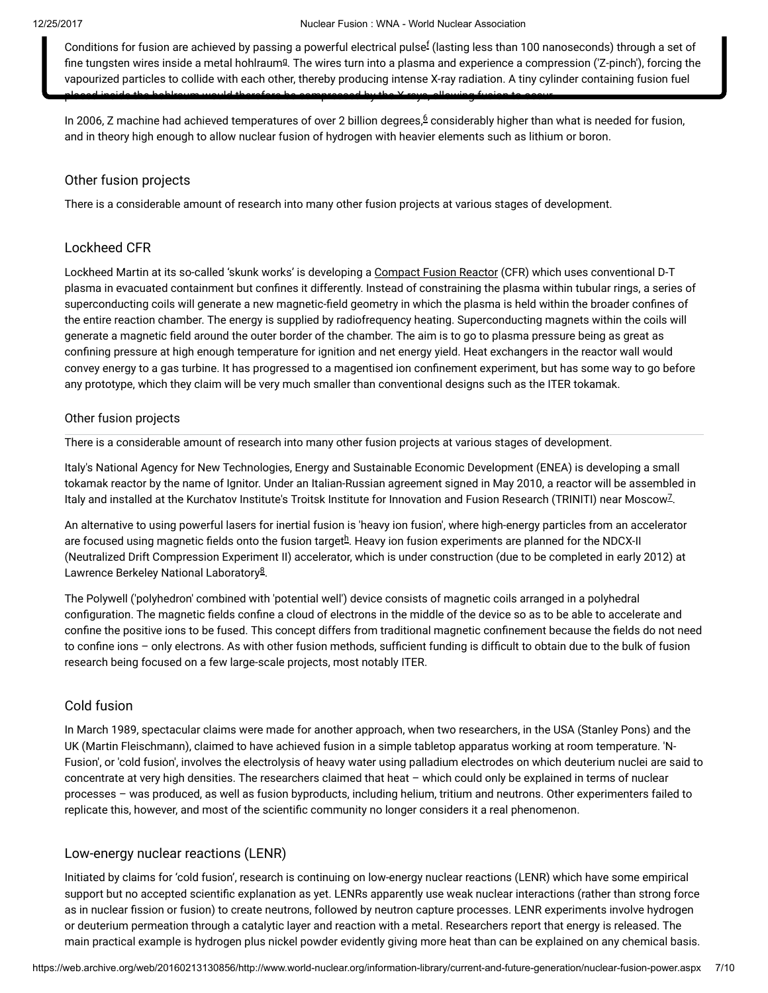<span id="page-6-1"></span><span id="page-6-0"></span>Conditions [f](#page-8-1)or fusion are achieved by passing a powerful electrical pulse $^{\rm f}$  (lasting less than 100 nanoseconds) through a set of fine tun[g](#page-8-1)sten wires inside a metal hohlraum $9$ . The wires turn into a plasma and experience a compression ('Z-pinch'), forcing the vapourized particles to collide with each other, thereby producing intense X-ray radiation. A tiny cylinder containing fusion fuel placed inside the hohlraum would therefore be compressed by the X-rays, allowing fusion to occur.

<span id="page-6-3"></span>In 200[6](#page-8-0), Z machine had achieved temperatures of over 2 billion degrees, $6$  considerably higher than what is needed for fusion, and in theory high enough to allow nuclear fusion of hydrogen with heavier elements such as lithium or boron.

# Other fusion projects

There is a considerable amount of research into many other fusion projects at various stages of development.

### Lockheed CFR

Lockheed Martin at its so-called 'skunk works' is developing a [Compact](https://web.archive.org/web/20160213130856/http://www.lockheedmartin.com/us/products/compact-fusion.html) Fusion Reactor (CFR) which uses conventional D-T plasma in evacuated containment but confines it differently. Instead of constraining the plasma within tubular rings, a series of superconducting coils will generate a new magnetic-field geometry in which the plasma is held within the broader confines of the entire reaction chamber. The energy is supplied by radiofrequency heating. Superconducting magnets within the coils will generate a magnetic field around the outer border of the chamber. The aim is to go to plasma pressure being as great as confining pressure at high enough temperature for ignition and net energy yield. Heat exchangers in the reactor wall would convey energy to a gas turbine. It has progressed to a magentised ion confinement experiment, but has some way to go before any prototype, which they claim will be very much smaller than conventional designs such as the ITER tokamak.

### Other fusion projects

There is a considerable amount of research into many other fusion projects at various stages of development.

<span id="page-6-4"></span>Italy's National Agency for New Technologies, Energy and Sustainable Economic Development (ENEA) is developing a small tokamak reactor by the name of Ignitor. Under an Italian-Russian agreement signed in May 2010, a reactor will be assembled in ltaly and installed at the Kurchatov Institute's Troitsk Institute for Innovation and Fusion Research (TRINITI) near Moscow<sup>[7](#page-8-0)</sup>.

<span id="page-6-2"></span>An alternative to using powerful lasers for inertial fusion is 'heavy ion fusion', where high-energy particles from an accelerator are focused using magnetic fields onto t[h](#page-8-1)e fusion target $^{\underline{h}}$ . Heavy ion fusion experiments are planned for the NDCX-II (Neutralized Drift Compression Experiment II) accelerator, which is under construction (due to be completed in early 2012) at Lawrence Berkeley National Laboratory<sup>[8](#page-8-0)</sup>.

<span id="page-6-5"></span>The Polywell ('polyhedron' combined with 'potential well') device consists of magnetic coils arranged in a polyhedral configuration. The magnetic fields confine a cloud of electrons in the middle of the device so as to be able to accelerate and confine the positive ions to be fused. This concept differs from traditional magnetic confinement because the fields do not need to confine ions - only electrons. As with other fusion methods, sufficient funding is difficult to obtain due to the bulk of fusion research being focused on a few large-scale projects, most notably ITER.

# Cold fusion

In March 1989, spectacular claims were made for another approach, when two researchers, in the USA (Stanley Pons) and the UK (Martin Fleischmann), claimed to have achieved fusion in a simple tabletop apparatus working at room temperature. 'N-Fusion', or 'cold fusion', involves the electrolysis of heavy water using palladium electrodes on which deuterium nuclei are said to concentrate at very high densities. The researchers claimed that heat – which could only be explained in terms of nuclear processes – was produced, as well as fusion byproducts, including helium, tritium and neutrons. Other experimenters failed to replicate this, however, and most of the scientific community no longer considers it a real phenomenon.

# Low-energy nuclear reactions (LENR)

Initiated by claims for 'cold fusion', research is continuing on low-energy nuclear reactions (LENR) which have some empirical support but no accepted scientific explanation as yet. LENRs apparently use weak nuclear interactions (rather than strong force as in nuclear fission or fusion) to create neutrons, followed by neutron capture processes. LENR experiments involve hydrogen or deuterium permeation through a catalytic layer and reaction with a metal. Researchers report that energy is released. The main practical example is hydrogen plus nickel powder evidently giving more heat than can be explained on any chemical basis.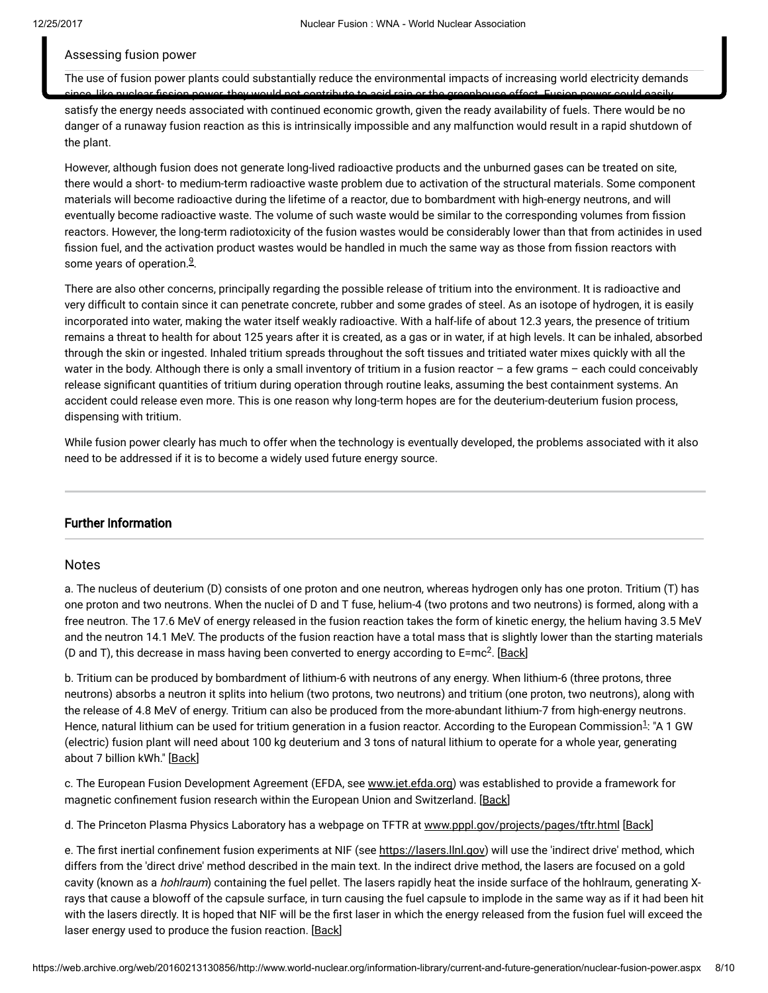#### Assessing fusion power

The use of fusion power plants could substantially reduce the environmental impacts of increasing world electricity demands swer, they would not contribute to seid rain or the greenhouse effect.

satisfy the energy needs associated with continued economic growth, given the ready availability of fuels. There would be no danger of a runaway fusion reaction as this is intrinsically impossible and any malfunction would result in a rapid shutdown of the plant.

However, although fusion does not generate long-lived radioactive products and the unburned gases can be treated on site, there would a short- to medium-term radioactive waste problem due to activation of the structural materials. Some component materials will become radioactive during the lifetime of a reactor, due to bombardment with high-energy neutrons, and will eventually become radioactive waste. The volume of such waste would be similar to the corresponding volumes from fission reactors. However, the long-term radiotoxicity of the fusion wastes would be considerably lower than that from actinides in used fission fuel, and the activation product wastes would be handled in much the same way as those from fission reactors with some years of operation.<sup>[9](#page-8-0)</sup>.

<span id="page-7-2"></span>There are also other concerns, principally regarding the possible release of tritium into the environment. It is radioactive and very difcult to contain since it can penetrate concrete, rubber and some grades of steel. As an isotope of hydrogen, it is easily incorporated into water, making the water itself weakly radioactive. With a half-life of about 12.3 years, the presence of tritium remains a threat to health for about 125 years after it is created, as a gas or in water, if at high levels. It can be inhaled, absorbed through the skin or ingested. Inhaled tritium spreads throughout the soft tissues and tritiated water mixes quickly with all the water in the body. Although there is only a small inventory of tritium in a fusion reactor – a few grams – each could conceivably release significant quantities of tritium during operation through routine leaks, assuming the best containment systems. An accident could release even more. This is one reason why long-term hopes are for the deuterium-deuterium fusion process, dispensing with tritium.

While fusion power clearly has much to offer when the technology is eventually developed, the problems associated with it also need to be addressed if it is to become a widely used future energy source.

### Further Information

### <span id="page-7-0"></span>Notes

a. The nucleus of deuterium (D) consists of one proton and one neutron, whereas hydrogen only has one proton. Tritium (T) has one proton and two neutrons. When the nuclei of D and T fuse, helium-4 (two protons and two neutrons) is formed, along with a free neutron. The 17.6 MeV of energy released in the fusion reaction takes the form of kinetic energy, the helium having 3.5 MeV and the neutron 14.1 MeV. The products of the fusion reaction have a total mass that is slightly lower than the starting materials (D and T), this decrease in mass having been converted to energy according to E=mc<sup>2</sup>. [\[Back\]](#page-0-0)

b. Tritium can be produced by bombardment of lithium-6 with neutrons of any energy. When lithium-6 (three protons, three neutrons) absorbs a neutron it splits into helium (two protons, two neutrons) and tritium (one proton, two neutrons), along with the release of 4.8 MeV of energy. Tritium can also be produced from the more-abundant lithium-7 from high-energy neutrons. Hence, natural lithium can be used for tritium generation in a fusion reactor. According to the European Commission<sup>[1](#page-8-0)</sup>: "A 1 GW (electric) fusion plant will need about 100 kg deuterium and 3 tons of natural lithium to operate for a whole year, generating about 7 billion kWh." [[Back](#page-0-1)]

<span id="page-7-1"></span>c. The European Fusion Development Agreement (EFDA, see [www.jet.efda.org](https://web.archive.org/web/20160213130856/http://www.jet.efda.org/efda/)) was established to provide a framework for magnetic confinement fusion research within the European Union and Switzerland. [\[Back\]](#page-3-0)

d. The Princeton Plasma Physics Laboratory has a webpage on TFTR at [www.pppl.gov/projects/pages/tftr.html](https://web.archive.org/web/20160213130856/http://www.pppl.gov/projects/pages/tftr.html) [\[Back\]](#page-4-0)

e. The first inertial confinement fusion experiments at NIF (see [https://lasers.llnl.gov\)](https://web.archive.org/web/20160213130856/https://lasers.llnl.gov/) will use the 'indirect drive' method, which differs from the 'direct drive' method described in the main text. In the indirect drive method, the lasers are focused on a gold cavity (known as a *hohlraum*) containing the fuel pellet. The lasers rapidly heat the inside surface of the hohlraum, generating Xrays that cause a blowoff of the capsule surface, in turn causing the fuel capsule to implode in the same way as if it had been hit with the lasers directly. It is hoped that NIF will be the first laser in which the energy released from the fusion fuel will exceed the laser energy used to produce the fusion reaction. [[Back](#page-5-0)]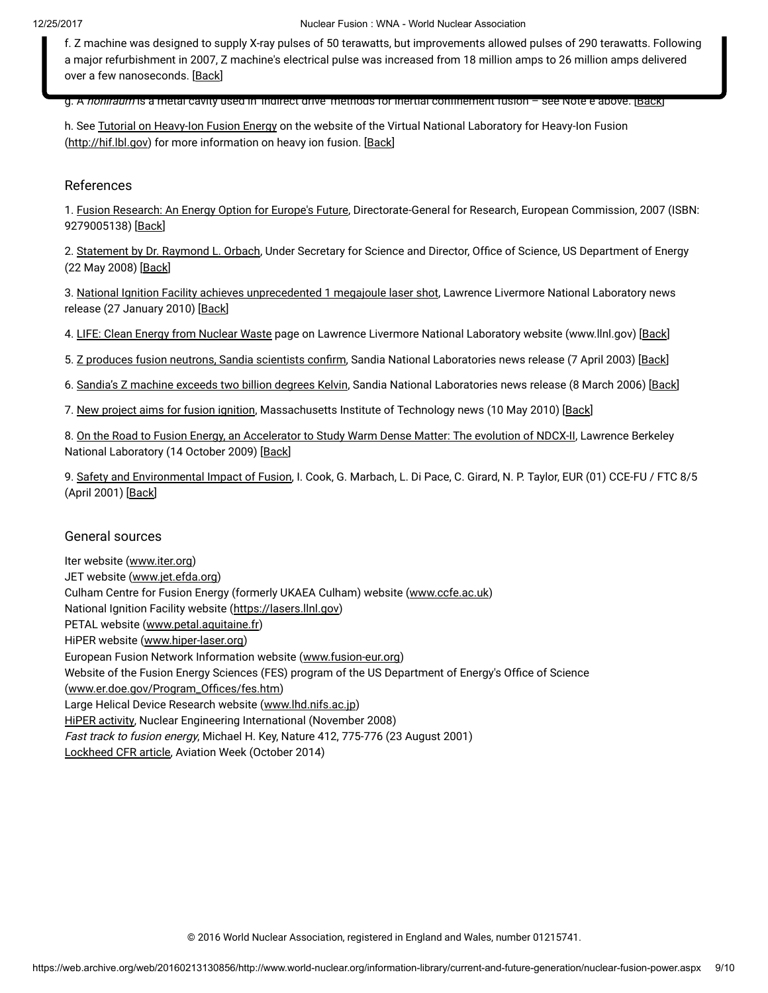<span id="page-8-1"></span>f. Z machine was designed to supply X-ray pulses of 50 terawatts, but improvements allowed pulses of 290 terawatts. Following a major refurbishment in 2007, Z machine's electrical pulse was increased from 18 million amps to 26 million amps delivered over a few nanoseconds. [[Back](#page-6-0)]

g. A noniraum is a metal cavity used in 'indirect drive' methods for inertial confinement fusion – see Note e above. [\[Back\]](#page-6-1)

h. See Tutorial on [Heavy-Ion](https://web.archive.org/web/20160213130856/http://hif.lbl.gov/tutorial/tutorial.html) Fusion Energy on the website of the Virtual National Laboratory for Heavy-Ion Fusion [\(http://hif.lbl.gov\)](https://web.archive.org/web/20160213130856/http://hif.lbl.gov/) for more information on heavy ion fusion. [[Back](#page-6-2)]

### <span id="page-8-0"></span>References

1. Fusion [Research:](https://web.archive.org/web/20160213130856/http://ec.europa.eu/research/energy/pdf/92-79-00513-8_en.pdf) An Energy Option for Europe's Future, Directorate-General for Research, European Commission, 2007 (ISBN: 9279005138) [[Back\]](#page-7-0)

2. [Statement](https://web.archive.org/web/20160213130856/http://ncsx.pppl.gov/DOE_NCSX_052208.pdf) by Dr. Raymond L. Orbach, Under Secretary for Science and Director, Office of Science, US Department of Energy (22 May 2008) [\[Back\]](#page-3-1)

3. National Ignition Facility achieves [unprecedented](https://web.archive.org/web/20160213130856/https://publicaffairs.llnl.gov/news/news_releases/2010/nnsa/NR-NNSA-10-01-02.html) 1 megajoule laser shot, Lawrence Livermore National Laboratory news release (27 January 2010) [Back]

4. LIFE: Clean Energy from [Nuclear](https://web.archive.org/web/20160213130856/https://lasers.llnl.gov/about/missions/energy_for_the_future/life/index.php) Waste page on Lawrence Livermore National Laboratory website (www.llnl.gov) [\[Back\]](#page-5-1)

5. Z produces fusion neutrons, Sandia [scientists](https://web.archive.org/web/20160213130856/http://www.sandia.gov/news-center/news-releases/2003/nuclear-power/Zneutrons.html) confirm, Sandia National Laboratories news release (7 April 2003) [Back]

6. Sandia's Z [machine](https://web.archive.org/web/20160213130856/http://www.sandia.gov/news-center/news-releases/2006/physics-astron/hottest-z-output.html) exceeds two billion degrees Kelvin, Sandia National Laboratories news release (8 March 2006) [[Back\]](#page-6-3)

7. New project aims for fusion [ignition,](https://web.archive.org/web/20160213130856/http://web.mit.edu/newsoffice/2010/fusion-ignition-0510.html) Massachusetts Institute of Technology news (10 May 2010) [[Back\]](#page-6-4)

8. On the Road to Fusion Energy, an [Accelerator](https://web.archive.org/web/20160213130856/http://newscenter.lbl.gov/feature-stories/2009/10/14/warm-dense-matter/) to Study Warm Dense Matter: The evolution of NDCX-II, Lawrence Berkeley National Laboratory (14 October 2009) [[Back\]](#page-6-5)

9. Safety and [Environmental](https://web.archive.org/web/20160213130856/http://www.efda.org/eu_fusion_programme/downloads/scientific_and_technical_publications/SEIF_report_25Apr01.pdf) Impact of Fusion, I. Cook, G. Marbach, L. Di Pace, C. Girard, N. P. Taylor, EUR (01) CCE-FU / FTC 8/5 (April 2001) [\[Back\]](#page-7-2)

### General sources

Iter website [\(www.iter.org\)](https://web.archive.org/web/20160213130856/http://www.iter.org/default.aspx) JET website ([www.jet.efda.org](https://web.archive.org/web/20160213130856/http://www.jet.efda.org/)) Culham Centre for Fusion Energy (formerly UKAEA Culham) website ([www.ccfe.ac.uk\)](https://web.archive.org/web/20160213130856/http://www.ccfe.ac.uk/) National Ignition Facility website [\(https://lasers.llnl.gov](https://web.archive.org/web/20160213130856/https://lasers.llnl.gov/)) PETAL website ([www.petal.aquitaine.fr\)](https://web.archive.org/web/20160213130856/http://www.petal.aquitaine.fr/spip.php?lang=en) HiPER website [\(www.hiper-laser.org](https://web.archive.org/web/20160213130856/http://www.hiper-laser.org/)) European Fusion Network Information website ([www.fusion-eur.org](https://web.archive.org/web/20160213130856/http://www.fusion-eur.org/)) Website of the Fusion Energy Sciences (FES) program of the US Department of Energy's Office of Science (www.er.doe.gov/Program\_Offices/fes.htm) Large Helical Device Research website [\(www.lhd.nifs.ac.jp\)](https://web.archive.org/web/20160213130856/http://www.lhd.nifs.ac.jp/en/) HiPER [activity](https://web.archive.org/web/20160213130856/http://www.neimagazine.com/story.asp?storyCode=2051538), Nuclear Engineering International (November 2008) Fast track to fusion energy, Michael H. Key, Nature 412, 775-776 (23 August 2001) [Lockheed](https://web.archive.org/web/20160213130856/http://aviationweek.com/technology/skunk-works-reveals-compact-fusion-reactor-details) CFR article, Aviation Week (October 2014)